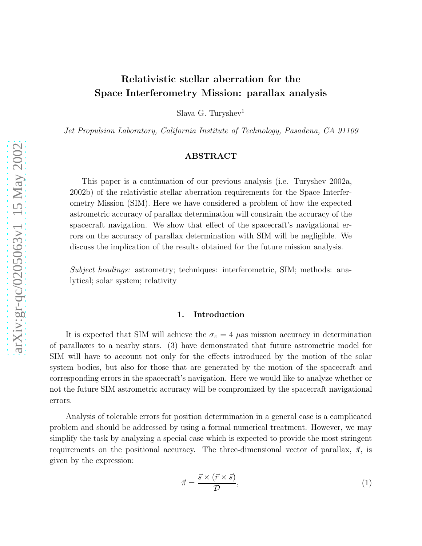# Relativistic stellar aberration for the Space Interferometry Mission: parallax analysis

Slava G. Turyshev<sup>1</sup>

Jet Propulsion Laboratory, California Institute of Technology, Pasadena, CA 91109

## ABSTRACT

This paper is a continuation of our previous analysis (i.e. Turyshev 2002a, 2002b) of the relativistic stellar aberration requirements for the Space Interferometry Mission (SIM). Here we have considered a problem of how the expected astrometric accuracy of parallax determination will constrain the accuracy of the spacecraft navigation. We show that effect of the spacecraft's navigational errors on the accuracy of parallax determination with SIM will be negligible. We discuss the implication of the results obtained for the future mission analysis.

Subject headings: astrometry; techniques: interferometric, SIM; methods: analytical; solar system; relativity

### 1. Introduction

It is expected that SIM will achieve the  $\sigma_{\pi} = 4 \mu$ as mission accuracy in determination of parallaxes to a nearby stars. (3) have demonstrated that future astrometric model for SIM will have to account not only for the effects introduced by the motion of the solar system bodies, but also for those that are generated by the motion of the spacecraft and corresponding errors in the spacecraft's navigation. Here we would like to analyze whether or not the future SIM astrometric accuracy will be compromized by the spacecraft navigational errors.

Analysis of tolerable errors for position determination in a general case is a complicated problem and should be addressed by using a formal numerical treatment. However, we may simplify the task by analyzing a special case which is expected to provide the most stringent requirements on the positional accuracy. The three-dimensional vector of parallax,  $\vec{\pi}$ , is given by the expression:

$$
\vec{\pi} = \frac{\vec{s} \times (\vec{r} \times \vec{s})}{\mathcal{D}},\tag{1}
$$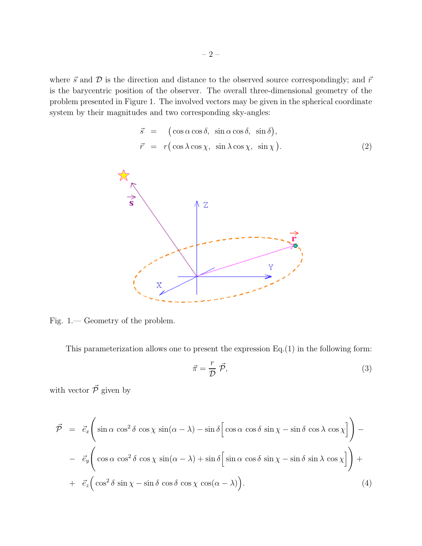where  $\vec{s}$  and  $\vec{D}$  is the direction and distance to the observed source correspondingly; and  $\vec{r}$ is the barycentric position of the observer. The overall three-dimensional geometry of the problem presented in Figure 1. The involved vectors may be given in the spherical coordinate system by their magnitudes and two corresponding sky-angles:

$$
\vec{s} = (\cos \alpha \cos \delta, \sin \alpha \cos \delta, \sin \delta), \n\vec{r} = r(\cos \lambda \cos \chi, \sin \lambda \cos \chi, \sin \chi).
$$
\n(2)



Fig. 1.— Geometry of the problem.

This parameterization allows one to present the expression  $Eq.(1)$  in the following form:

$$
\vec{\pi} = \frac{r}{\mathcal{D}} \vec{\mathcal{P}},\tag{3}
$$

with vector  $\vec{\mathcal{P}}$  given by

$$
\vec{\mathcal{P}} = \vec{e}_x \left( \sin \alpha \cos^2 \delta \cos \chi \sin(\alpha - \lambda) - \sin \delta \left[ \cos \alpha \cos \delta \sin \chi - \sin \delta \cos \lambda \cos \chi \right] \right) -
$$

$$
- \vec{e}_y \left( \cos \alpha \cos^2 \delta \cos \chi \sin(\alpha - \lambda) + \sin \delta \left[ \sin \alpha \cos \delta \sin \chi - \sin \delta \sin \lambda \cos \chi \right] \right) +
$$

$$
+ \vec{e}_z \left( \cos^2 \delta \sin \chi - \sin \delta \cos \delta \cos \chi \cos(\alpha - \lambda) \right). \tag{4}
$$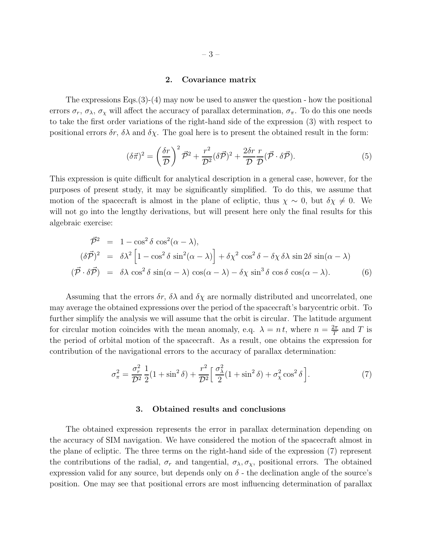#### 2. Covariance matrix

The expressions Eqs.(3)-(4) may now be used to answer the question - how the positional errors  $\sigma_r$ ,  $\sigma_\lambda$ ,  $\sigma_\chi$  will affect the accuracy of parallax determination,  $\sigma_\pi$ . To do this one needs to take the first order variations of the right-hand side of the expression (3) with respect to positional errors  $\delta r$ ,  $\delta \lambda$  and  $\delta \chi$ . The goal here is to present the obtained result in the form:

$$
(\delta \vec{\pi})^2 = \left(\frac{\delta r}{\mathcal{D}}\right)^2 \vec{\mathcal{P}}^2 + \frac{r^2}{\mathcal{D}^2} (\delta \vec{\mathcal{P}})^2 + \frac{2\delta r}{\mathcal{D}} \frac{r}{\mathcal{D}} (\vec{\mathcal{P}} \cdot \delta \vec{\mathcal{P}}). \tag{5}
$$

This expression is quite difficult for analytical description in a general case, however, for the purposes of present study, it may be significantly simplified. To do this, we assume that motion of the spacecraft is almost in the plane of ecliptic, thus  $\chi \sim 0$ , but  $\delta \chi \neq 0$ . We will not go into the lengthy derivations, but will present here only the final results for this algebraic exercise:

$$
\vec{\mathcal{P}}^2 = 1 - \cos^2 \delta \cos^2(\alpha - \lambda),
$$
  
\n
$$
(\delta \vec{\mathcal{P}})^2 = \delta \lambda^2 \left[ 1 - \cos^2 \delta \sin^2(\alpha - \lambda) \right] + \delta \chi^2 \cos^2 \delta - \delta \chi \delta \lambda \sin 2\delta \sin(\alpha - \lambda)
$$
  
\n
$$
(\vec{\mathcal{P}} \cdot \delta \vec{\mathcal{P}}) = \delta \lambda \cos^2 \delta \sin(\alpha - \lambda) \cos(\alpha - \lambda) - \delta \chi \sin^3 \delta \cos \delta \cos(\alpha - \lambda).
$$
 (6)

Assuming that the errors  $\delta r$ ,  $\delta \lambda$  and  $\delta \chi$  are normally distributed and uncorrelated, one may average the obtained expressions over the period of the spacecraft's barycentric orbit. To further simplify the analysis we will assume that the orbit is circular. The latitude argument for circular motion coincides with the mean anomaly, e.q.  $\lambda = n t$ , where  $n = \frac{2\pi}{T}$  $\frac{2\pi}{T}$  and T is the period of orbital motion of the spacecraft. As a result, one obtains the expression for contribution of the navigational errors to the accuracy of parallax determination:

$$
\sigma_{\pi}^2 = \frac{\sigma_r^2}{\mathcal{D}^2} \frac{1}{2} (1 + \sin^2 \delta) + \frac{r^2}{\mathcal{D}^2} \left[ \frac{\sigma_\lambda^2}{2} (1 + \sin^2 \delta) + \sigma_\chi^2 \cos^2 \delta \right]. \tag{7}
$$

#### 3. Obtained results and conclusions

The obtained expression represents the error in parallax determination depending on the accuracy of SIM navigation. We have considered the motion of the spacecraft almost in the plane of ecliptic. The three terms on the right-hand side of the expression (7) represent the contributions of the radial,  $\sigma_r$  and tangential,  $\sigma_\lambda, \sigma_\chi$ , positional errors. The obtained expression valid for any source, but depends only on  $\delta$  - the declination angle of the source's position. One may see that positional errors are most influencing determination of parallax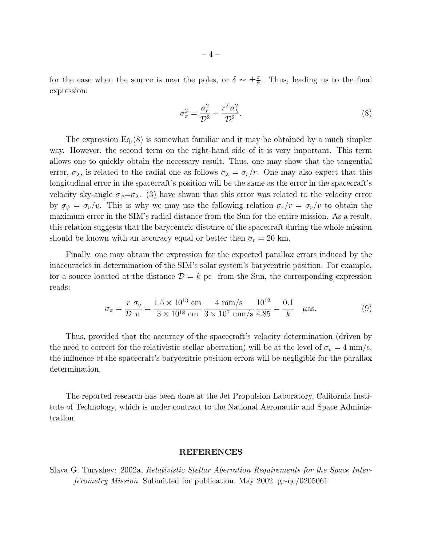for the case when the source is near the poles, or  $\delta \sim \pm \frac{\pi}{2}$ . Thus, leading us to the final expression:

$$
\sigma_{\pi}^2 = \frac{\sigma_r^2}{\mathcal{D}^2} + \frac{r^2 \sigma_\lambda^2}{\mathcal{D}^2}.
$$
\n(8)

The expression Eq.(8) is somewhat familiar and it may be obtained by a much simpler way. However, the second term on the right-hand side of it is very important. This term allows one to quickly obtain the necessary result. Thus, one may show that the tangential error,  $\sigma_{\lambda}$ , is related to the radial one as follows  $\sigma_{\lambda} = \sigma_r/r$ . One may also expect that this longitudinal error in the spacecraft's position will be the same as the error in the spacecraft's velocity sky-angle  $\sigma_{\psi} = \sigma_{\lambda}$ . (3) have shwon that this error was related to the velocity error by  $\sigma_{\psi} = \sigma_{v}/v$ . This is why we may use the following relation  $\sigma_{r}/r = \sigma_{v}/v$  to obtain the maximum error in the SIM's radial distance from the Sun for the entire mission. As a result, this relation suggests that the barycentric distance of the spacecraft during the whole mission should be known with an accuracy equal or better then  $\sigma_r = 20$  km.

Finally, one may obtain the expression for the expected parallax errors induced by the inaccuracies in determination of the SIM's solar system's barycentric position. For example, for a source located at the distance  $\mathcal{D} = k$  pc from the Sun, the corresponding expression reads:

$$
\sigma_{\pi} = \frac{r}{\mathcal{D}} \frac{\sigma_v}{v} = \frac{1.5 \times 10^{13} \text{ cm}}{3 \times 10^{18} \text{ cm}} \frac{4 \text{ mm/s}}{3 \times 10^7 \text{ mm/s}} \frac{10^{12}}{4.85} = \frac{0.1}{k} \quad \mu \text{as.}
$$
 (9)

Thus, provided that the accuracy of the spacecraft's velocity determination (driven by the need to correct for the relativistic stellar aberration) will be at the level of  $\sigma_v = 4$  mm/s, the influence of the spacecraft's barycentric position errors will be negligible for the parallax determination.

The reported research has been done at the Jet Propulsion Laboratory, California Institute of Technology, which is under contract to the National Aeronautic and Space Administration.

#### REFERENCES

Slava G. Turyshev: 2002a, Relativistic Stellar Aberration Requirements for the Space Interferometry Mission. Submitted for publication. May 2002. gr-qc/0205061